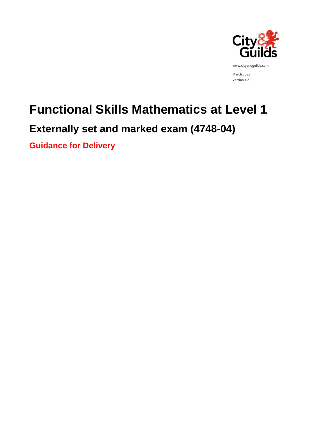

March 2021 Version 2.0

# **Functional Skills Mathematics at Level 1**

## **Externally set and marked exam (4748-04)**

**Guidance for Delivery**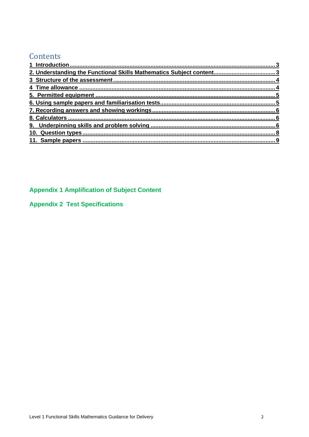## Contents

## **Appendix 1 Amplification of Subject Content**

## **Appendix 2 Test Specifications**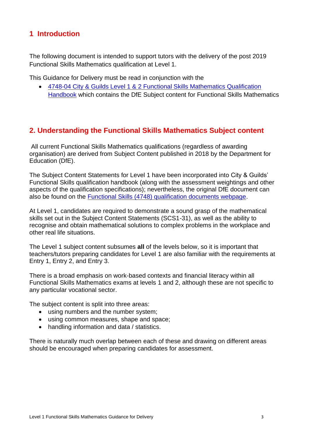## <span id="page-2-0"></span>**1 Introduction**

The following document is intended to support tutors with the delivery of the post 2019 Functional Skills Mathematics qualification at Level 1.

This Guidance for Delivery must be read in conjunction with the

• [4748-04 City & Guilds Level 1 & 2 Functional Skills Mathematics Qualification](https://www.cityandguilds.com/qualifications-and-apprenticeships/skills-for-work-and-life/english-mathematics-and-ict-skills/4748-functional-skills#tab=documents)  [Handbook](https://www.cityandguilds.com/qualifications-and-apprenticeships/skills-for-work-and-life/english-mathematics-and-ict-skills/4748-functional-skills#tab=documents) which contains the DfE Subject content for Functional Skills Mathematics

## <span id="page-2-1"></span>**2. Understanding the Functional Skills Mathematics Subject content**

All current Functional Skills Mathematics qualifications (regardless of awarding organisation) are derived from Subject Content published in 2018 by the Department for Education (DfE).

The Subject Content Statements for Level 1 have been incorporated into City & Guilds' Functional Skills qualification handbook (along with the assessment weightings and other aspects of the qualification specifications); nevertheless, the original DfE document can also be found on the [Functional Skills \(4748\) qualification documents webpage.](https://www.cityandguilds.com/qualifications-and-apprenticeships/skills-for-work-and-life/english-mathematics-and-ict-skills/4748-functional-skills)

At Level 1, candidates are required to demonstrate a sound grasp of the mathematical skills set out in the Subject Content Statements (SCS1-31), as well as the ability to recognise and obtain mathematical solutions to complex problems in the workplace and other real life situations.

The Level 1 subject content subsumes **all** of the levels below, so it is important that teachers/tutors preparing candidates for Level 1 are also familiar with the requirements at Entry 1, Entry 2, and Entry 3.

There is a broad emphasis on work-based contexts and financial literacy within all Functional Skills Mathematics exams at levels 1 and 2, although these are not specific to any particular vocational sector.

The subject content is split into three areas:

- using numbers and the number system;
- using common measures, shape and space;
- handling information and data / statistics.

There is naturally much overlap between each of these and drawing on different areas should be encouraged when preparing candidates for assessment.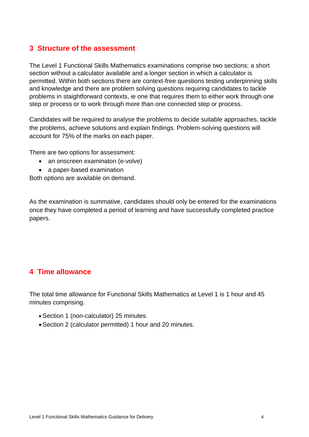## <span id="page-3-0"></span>**3 Structure of the assessment**

The Level 1 Functional Skills Mathematics examinations comprise two sections: a short section without a calculator available and a longer section in which a calculator is permitted. Within both sections there are context-free questions testing underpinning skills and knowledge and there are problem solving questions requiring candidates to tackle problems in staightforward contexts, ie one that requires them to either work through one step or process or to work through more than one connected step or process.

Candidates will be required to analyse the problems to decide suitable approaches, tackle the problems, achieve solutions and explain findings. Problem-solving questions will account for 75% of the marks on each paper.

There are two options for assessment:

- an onscreen examinaton (e-volve)
- a paper-based examination

Both options are available on demand.

As the examination is summative, candidates should only be entered for the examinations once they have completed a period of learning and have successfully completed practice papers.

## <span id="page-3-1"></span>**4 Time allowance**

The total time allowance for Functional Skills Mathematics at Level 1 is 1 hour and 45 minutes comprising.

- Section 1 (non-calculator) 25 minutes.
- Section 2 (calculator permitted) 1 hour and 20 minutes.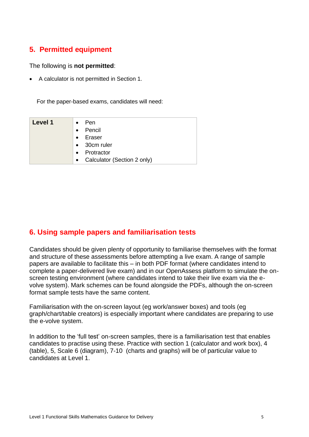## <span id="page-4-0"></span>**5. Permitted equipment**

#### The following is **not permitted**:

• A calculator is not permitted in Section 1.

For the paper-based exams, candidates will need:

| Level 1 | Pen<br>$\bullet$                         |
|---------|------------------------------------------|
|         | Pencil<br>$\bullet$                      |
|         | Eraser<br>$\bullet$                      |
|         | 30cm ruler<br>$\bullet$                  |
|         | Protractor<br>$\bullet$                  |
|         | Calculator (Section 2 only)<br>$\bullet$ |

## <span id="page-4-1"></span>**6. Using sample papers and familiarisation tests**

Candidates should be given plenty of opportunity to familiarise themselves with the format and structure of these assessments before attempting a live exam. A range of sample papers are available to facilitate this – in both PDF format (where candidates intend to complete a paper-delivered live exam) and in our OpenAssess platform to simulate the onscreen testing environment (where candidates intend to take their live exam via the evolve system). Mark schemes can be found alongside the PDFs, although the on-screen format sample tests have the same content.

Familiarisation with the on-screen layout (eg work/answer boxes) and tools (eg graph/chart/table creators) is especially important where candidates are preparing to use the e-volve system.

In addition to the 'full test' on-screen samples, there is a familiarisation test that enables candidates to practise using these. Practice with section 1 (calculator and work box), 4 (table), 5, Scale 6 (diagram), 7-10 (charts and graphs) will be of particular value to candidates at Level 1.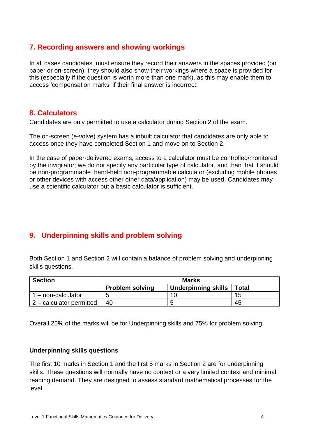## <span id="page-5-0"></span>**7. Recording answers and showing workings**

In all cases candidates must ensure they record their answers in the spaces provided (on paper or on-screen); they should also show their workings where a space is provided for this (especially if the question is worth more than one mark), as this may enable them to access 'compensation marks' if their final answer is incorrect.

## <span id="page-5-1"></span>**8. Calculators**

Candidates are only permitted to use a calculator during Section 2 of the exam.

The on-screen (e-volve) system has a inbuilt calculator that candidates are only able to access once they have completed Section 1 and move on to Section 2.

In the case of paper-delivered exams, access to a calculator must be controlled/monitored by the invigilator; we do not specify any particular type of calculator, and than that it should be non-programmable hand-held non-programmable calculator (excluding mobile phones or other devices with access other other data/application) may be used. Candidates may use a scientific calculator but a basic calculator is sufficient.

## <span id="page-5-2"></span>**9. Underpinning skills and problem solving**

Both Section 1 and Section 2 will contain a balance of problem solving and underpinning skills questions.

| <b>Section</b>             | <b>Marks</b>           |                     |              |  |  |
|----------------------------|------------------------|---------------------|--------------|--|--|
|                            | <b>Problem solving</b> | Underpinning skills | <b>Total</b> |  |  |
| - non-calculator           |                        |                     | 15           |  |  |
| $2$ – calculator permitted | 40                     | ∽                   | 45           |  |  |

Overall 25% of the marks will be for Underpinning skills and 75% for problem solving.

#### **Underpinning skills questions**

The first 10 marks in Section 1 and the first 5 marks in Section 2 are for underpinning skills. These questions will normally have no context or a very limited context and minimal reading demand. They are designed to assess standard mathematical processes for the level.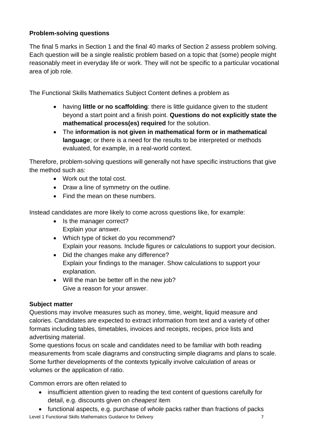## **Problem-solving questions**

The final 5 marks in Section 1 and the final 40 marks of Section 2 assess problem solving. Each question will be a single realistic problem based on a topic that (some) people might reasonably meet in everyday life or work. They will not be specific to a particular vocational area of job role.

The Functional Skills Mathematics Subject Content defines a problem as

- having **little or no scaffolding**: there is little guidance given to the student beyond a start point and a finish point. **Questions do not explicitly state the mathematical process(es) required** for the solution.
- The **information is not given in mathematical form or in mathematical language**; or there is a need for the results to be interpreted or methods evaluated, for example, in a real-world context.

Therefore, problem-solving questions will generally not have specific instructions that give the method such as:

- Work out the total cost.
- Draw a line of symmetry on the outline.
- Find the mean on these numbers.

Instead candidates are more likely to come across questions like, for example:

- Is the manager correct? Explain your answer.
- Which type of ticket do you recommend? Explain your reasons. Include figures or calculations to support your decision.
- Did the changes make any difference? Explain your findings to the manager. Show calculations to support your explanation.
- Will the man be better off in the new job? Give a reason for your answer.

## **Subject matter**

Questions may involve measures such as money, time, weight, liquid measure and calories. Candidates are expected to extract information from text and a variety of other formats including tables, timetables, invoices and receipts, recipes, price lists and advertising material.

Some questions focus on scale and candidates need to be familiar with both reading measurements from scale diagrams and constructing simple diagrams and plans to scale. Some further developments of the contexts typically involve calculation of areas or volumes or the application of ratio.

Common errors are often related to

- insufficient attention given to reading the text content of questions carefully for detail, e.g. discounts given on *cheapest* item
- Level 1 Functional Skills Mathematics Guidance for Delivery 7 7 • functional aspects, e.g. purchase of *whole* packs rather than fractions of packs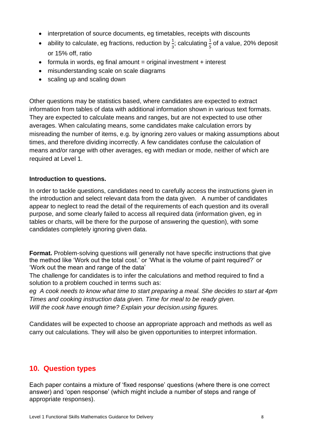- interpretation of source documents, eg timetables, receipts with discounts
- ability to calculate, eg fractions, reduction by  $\frac{1}{3}$ ; calculating  $\frac{1}{5}$  of a value, 20% deposit or 15% off, ratio
- $\bullet$  formula in words, eg final amount = original investment + interest
- misunderstanding scale on scale diagrams
- scaling up and scaling down

Other questions may be statistics based, where candidates are expected to extract information from tables of data with additional information shown in various text formats. They are expected to calculate means and ranges, but are not expected to use other averages. When calculating means, some candidates make calculation errors by misreading the number of items, e.g. by ignoring zero values or making assumptions about times, and therefore dividing incorrectly. A few candidates confuse the calculation of means and/or range with other averages, eg with median or mode, neither of which are required at Level 1.

#### **Introduction to questions.**

In order to tackle questions, candidates need to carefully access the instructions given in the introduction and select relevant data from the data given. A number of candidates appear to neglect to read the detail of the requirements of each question and its overall purpose, and some clearly failed to access all required data (information given, eg in tables or charts, will be there for the purpose of answering the question), with some candidates completely ignoring given data.

**Format.** Problem-solving questions will generally not have specific instructions that give the method like 'Work out the total cost.' or 'What is the volume of paint required?' or 'Work out the mean and range of the data'

The challenge for candidates is to infer the calculations and method required to find a solution to a problem couched in terms such as:

*eg A cook needs to know what time to start preparing a meal. She decides to start at 4pm Times and cooking instruction data given. Time for meal to be ready given. Will the cook have enough time? Explain your decision.using figures.*

Candidates will be expected to choose an appropriate approach and methods as well as carry out calculations. They will also be given opportunities to interpret information.

## <span id="page-7-0"></span>**10. Question types**

Each paper contains a mixture of 'fixed response' questions (where there is one correct answer) and 'open response' (which might include a number of steps and range of appropriate responses).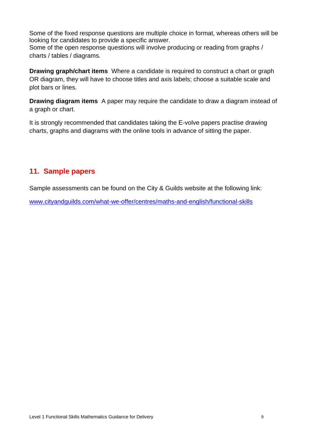Some of the fixed response questions are multiple choice in format, whereas others will be looking for candidates to provide a specific answer.

Some of the open response questions will involve producing or reading from graphs / charts / tables / diagrams.

**Drawing graph/chart items** Where a candidate is required to construct a chart or graph OR diagram, they will have to choose titles and axis labels; choose a suitable scale and plot bars or lines.

**Drawing diagram items** A paper may require the candidate to draw a diagram instead of a graph or chart.

It is strongly recommended that candidates taking the E-volve papers practise drawing charts, graphs and diagrams with the online tools in advance of sitting the paper.

## <span id="page-8-0"></span>**11. Sample papers**

Sample assessments can be found on the City & Guilds website at the following link:

[www.cityandguilds.com/what-we-offer/centres/maths-and-english/functional-skills](http://www.cityandguilds.com/what-we-offer/centres/maths-and-english/functional-skills)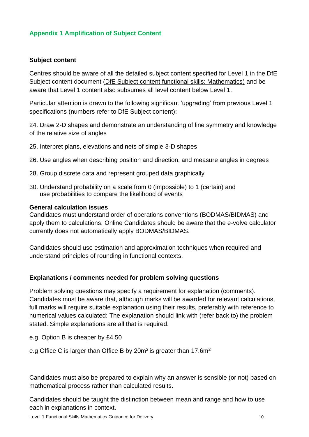#### **Appendix 1 Amplification of Subject Content**

#### **Subject content**

Centres should be aware of all the detailed subject content specified for Level 1 in the DfE Subject content document [\(DfE Subject content functional skills: Mathematics\)](https://assets.publishing.service.gov.uk/government/uploads/system/uploads/attachment_data/file/684807/Functional_Skills_Subject_Content_Mathematics.pdf) and be aware that Level 1 content also subsumes all level content below Level 1.

Particular attention is drawn to the following significant 'upgrading' from previous Level 1 specifications (numbers refer to DfE Subject content):

24. Draw 2-D shapes and demonstrate an understanding of line symmetry and knowledge of the relative size of angles

- 25. Interpret plans, elevations and nets of simple 3-D shapes
- 26. Use angles when describing position and direction, and measure angles in degrees
- 28. Group discrete data and represent grouped data graphically
- 30. Understand probability on a scale from 0 (impossible) to 1 (certain) and use probabilities to compare the likelihood of events

#### **General calculation issues**

Candidates must understand order of operations conventions (BODMAS/BIDMAS) and apply them to calculations. Online Candidates should be aware that the e-volve calculator currently does not automatically apply BODMAS/BIDMAS.

Candidates should use estimation and approximation techniques when required and understand principles of rounding in functional contexts.

#### **Explanations / comments needed for problem solving questions**

Problem solving questions may specify a requirement for explanation (comments). Candidates must be aware that, although marks will be awarded for relevant calculations, full marks will require suitable explanation using their results, preferably with reference to numerical values calculated: The explanation should link with (refer back to) the problem stated. Simple explanations are all that is required.

e.g. Option B is cheaper by £4.50

e.g Office C is larger than Office B by  $20m^2$  is greater than 17.6 $m^2$ 

Candidates must also be prepared to explain why an answer is sensible (or not) based on mathematical process rather than calculated results.

Candidates should be taught the distinction between mean and range and how to use each in explanations in context.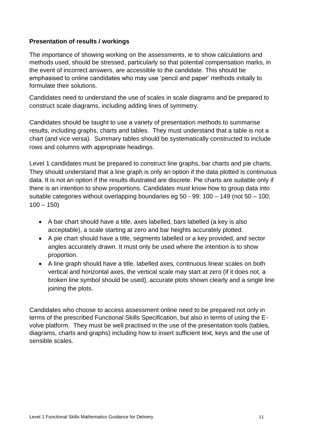#### **Presentation of results / workings**

The importance of showing working on the assessments, ie to show calculations and methods used, should be stressed, particularly so that potential compensation marks, in the event of incorrect answers, are accessible to the candidate. This should be emphasised to online candidates who may use 'pencil and paper' methods initially to formulate their solutions.

Candidates need to understand the use of scales in scale diagrams and be prepared to construct scale diagrams, including adding lines of symmetry.

Candidates should be taught to use a variety of presentation methods to summarise results, including graphs, charts and tables. They must understand that a table is not a chart (and vice versa). Summary tables should be systematically constructed to include rows and columns with appropriate headings.

Level 1 candidates must be prepared to construct line graphs, bar charts and pie charts. They should understand that a line graph is only an option if the data plotted is continuous data. It is not an option if the results illustrated are discrete. Pie charts are suitable only if there is an intention to show proportions. Candidates must know how to group data into suitable categories without overlapping boundaries eg 50 - 99; 100 – 149 (not 50 – 100;  $100 - 150$ 

- A bar chart should have a title, axes labelled, bars labelled (a key is also acceptable), a scale starting at zero and bar heights accurately plotted.
- A pie chart should have a title, segments labelled or a key provided, and sector angles accurately drawn. It must only be used where the intention is to show proportion.
- A line graph should have a title, labelled axes, continuous linear scales on both vertical and horizontal axes, the vertical scale may start at zero (if it does not, a broken line symbol should be used), accurate plots shown clearly and a single line joining the plots.

Candidates who choose to access assessment online need to be prepared not only in terms of the prescribed Functional Skills Specification, but also in terms of using the Evolve platform. They must be well practised in the use of the presentation tools (tables, diagrams, charts and graphs) including how to insert sufficient text, keys and the use of sensible scales.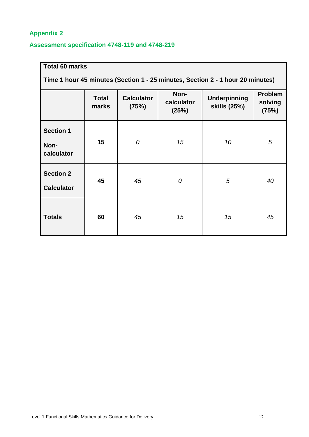## **Appendix 2**

## **Assessment specification 4748-119 and 4748-219**

| <b>Total 60 marks</b><br>Time 1 hour 45 minutes (Section 1 - 25 minutes, Section 2 - 1 hour 20 minutes) |                       |                            |                             |                                     |                                    |  |  |  |
|---------------------------------------------------------------------------------------------------------|-----------------------|----------------------------|-----------------------------|-------------------------------------|------------------------------------|--|--|--|
|                                                                                                         | <b>Total</b><br>marks | <b>Calculator</b><br>(75%) | Non-<br>calculator<br>(25%) | <b>Underpinning</b><br>skills (25%) | <b>Problem</b><br>solving<br>(75%) |  |  |  |
| <b>Section 1</b><br>Non-<br>calculator                                                                  | 15                    | 0                          | 15                          | 10                                  | 5                                  |  |  |  |
| <b>Section 2</b><br><b>Calculator</b>                                                                   | 45                    | 45                         | 0                           | 5                                   | 40                                 |  |  |  |
| <b>Totals</b>                                                                                           | 60                    | 45                         | 15                          | 15                                  | 45                                 |  |  |  |